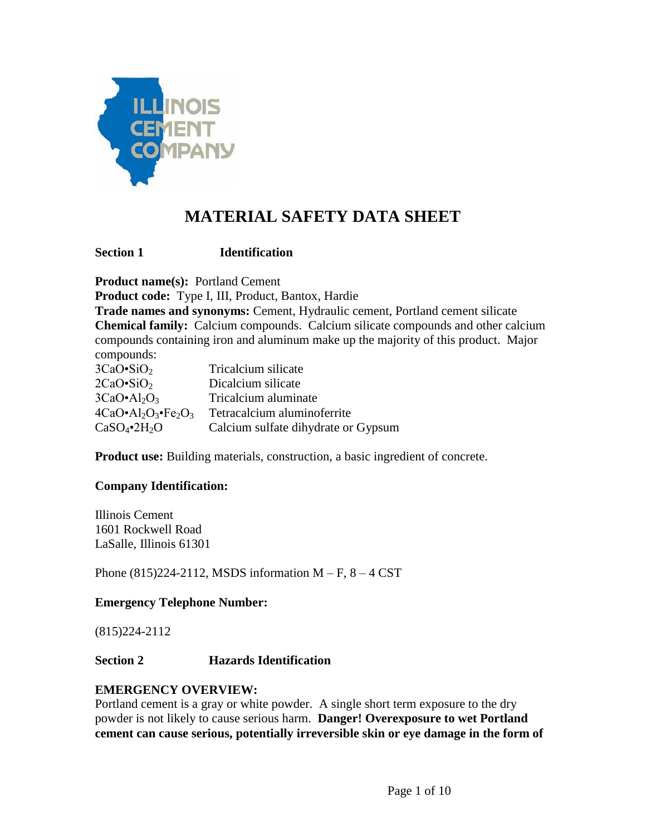

# **MATERIAL SAFETY DATA SHEET**

**Section 1 Identification** 

**Product name(s):** Portland Cement

**Product code:** Type I, III, Product, Bantox, Hardie

**Trade names and synonyms:** Cement, Hydraulic cement, Portland cement silicate **Chemical family:** Calcium compounds. Calcium silicate compounds and other calcium compounds containing iron and aluminum make up the majority of this product. Major compounds:

| compound.                          |                                     |
|------------------------------------|-------------------------------------|
| $3CaO \cdot SiO_2$                 | Tricalcium silicate                 |
| $2CaO\cdot SiO2$                   | Dicalcium silicate                  |
| $3CaO \cdot Al_2O_3$               | Tricalcium aluminate                |
| $4CaO \cdot Al_2O_3 \cdot Fe_2O_3$ | Tetracalcium aluminoferrite         |
| $CaSO_4$ •2H <sub>2</sub> O        | Calcium sulfate dihydrate or Gypsum |

**Product use:** Building materials, construction, a basic ingredient of concrete.

# **Company Identification:**

Illinois Cement 1601 Rockwell Road LaSalle, Illinois 61301

Phone  $(815)224-2112$ , MSDS information M – F,  $8-4$  CST

# **Emergency Telephone Number:**

(815)224-2112

# **Section 2 Hazards Identification**

#### **EMERGENCY OVERVIEW:**

Portland cement is a gray or white powder. A single short term exposure to the dry powder is not likely to cause serious harm. **Danger! Overexposure to wet Portland cement can cause serious, potentially irreversible skin or eye damage in the form of**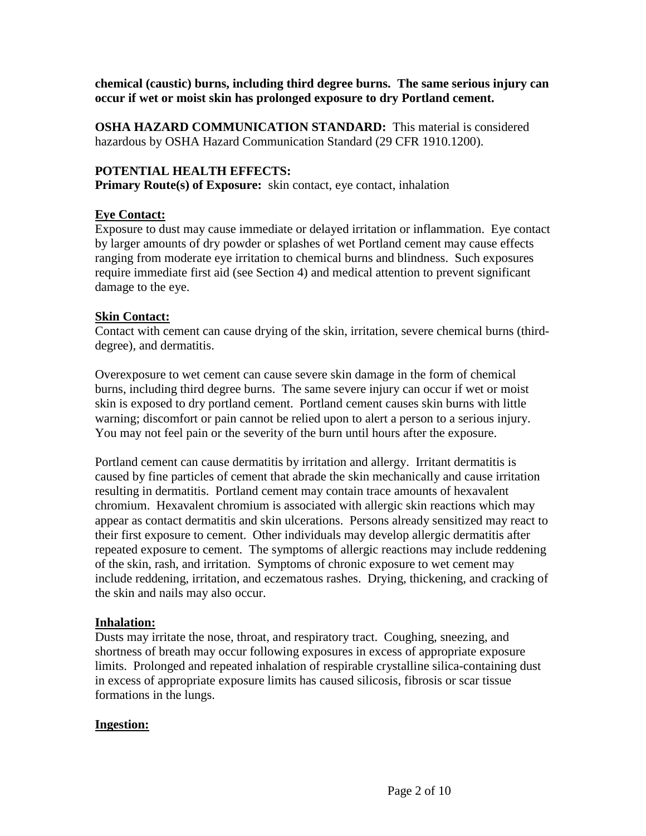**chemical (caustic) burns, including third degree burns. The same serious injury can occur if wet or moist skin has prolonged exposure to dry Portland cement.**

**OSHA HAZARD COMMUNICATION STANDARD:** This material is considered hazardous by OSHA Hazard Communication Standard (29 CFR 1910.1200).

# **POTENTIAL HEALTH EFFECTS:**

**Primary Route(s) of Exposure:** skin contact, eye contact, inhalation

# **Eye Contact:**

Exposure to dust may cause immediate or delayed irritation or inflammation. Eye contact by larger amounts of dry powder or splashes of wet Portland cement may cause effects ranging from moderate eye irritation to chemical burns and blindness. Such exposures require immediate first aid (see Section 4) and medical attention to prevent significant damage to the eye.

# **Skin Contact:**

Contact with cement can cause drying of the skin, irritation, severe chemical burns (thirddegree), and dermatitis.

Overexposure to wet cement can cause severe skin damage in the form of chemical burns, including third degree burns. The same severe injury can occur if wet or moist skin is exposed to dry portland cement. Portland cement causes skin burns with little warning; discomfort or pain cannot be relied upon to alert a person to a serious injury. You may not feel pain or the severity of the burn until hours after the exposure.

Portland cement can cause dermatitis by irritation and allergy. Irritant dermatitis is caused by fine particles of cement that abrade the skin mechanically and cause irritation resulting in dermatitis. Portland cement may contain trace amounts of hexavalent chromium. Hexavalent chromium is associated with allergic skin reactions which may appear as contact dermatitis and skin ulcerations. Persons already sensitized may react to their first exposure to cement. Other individuals may develop allergic dermatitis after repeated exposure to cement. The symptoms of allergic reactions may include reddening of the skin, rash, and irritation. Symptoms of chronic exposure to wet cement may include reddening, irritation, and eczematous rashes. Drying, thickening, and cracking of the skin and nails may also occur.

# **Inhalation:**

Dusts may irritate the nose, throat, and respiratory tract. Coughing, sneezing, and shortness of breath may occur following exposures in excess of appropriate exposure limits. Prolonged and repeated inhalation of respirable crystalline silica-containing dust in excess of appropriate exposure limits has caused silicosis, fibrosis or scar tissue formations in the lungs.

# **Ingestion:**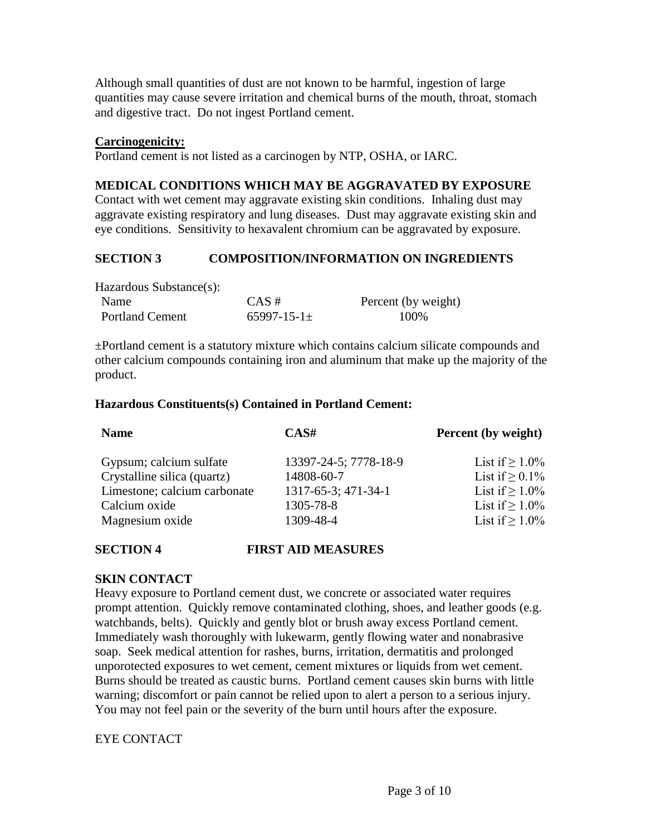Although small quantities of dust are not known to be harmful, ingestion of large quantities may cause severe irritation and chemical burns of the mouth, throat, stomach and digestive tract. Do not ingest Portland cement.

## **Carcinogenicity:**

Portland cement is not listed as a carcinogen by NTP, OSHA, or IARC.

# **MEDICAL CONDITIONS WHICH MAY BE AGGRAVATED BY EXPOSURE**

Contact with wet cement may aggravate existing skin conditions. Inhaling dust may aggravate existing respiratory and lung diseases. Dust may aggravate existing skin and eye conditions. Sensitivity to hexavalent chromium can be aggravated by exposure.

# **SECTION 3 COMPOSITION/INFORMATION ON INGREDIENTS**

Hazardous Substance(s):

| Name                   | $CAS \#$             | Percent (by weight) |
|------------------------|----------------------|---------------------|
| <b>Portland Cement</b> | $65997 - 15 - 1 \pm$ | 100\%               |

±Portland cement is a statutory mixture which contains calcium silicate compounds and other calcium compounds containing iron and aluminum that make up the majority of the product.

## **Hazardous Constituents(s) Contained in Portland Cement:**

| <b>Name</b>                  | CAS#                  | <b>Percent</b> (by weight) |
|------------------------------|-----------------------|----------------------------|
| Gypsum; calcium sulfate      | 13397-24-5; 7778-18-9 | List if $> 1.0\%$          |
| Crystalline silica (quartz)  | 14808-60-7            | List if $> 0.1\%$          |
| Limestone; calcium carbonate | 1317-65-3; 471-34-1   | List if $> 1.0\%$          |
| Calcium oxide                | 1305-78-8             | List if $> 1.0\%$          |
| Magnesium oxide              | 1309-48-4             | List if $> 1.0\%$          |
|                              |                       |                            |

# **SECTION 4 FIRST AID MEASURES**

# **SKIN CONTACT**

Heavy exposure to Portland cement dust, we concrete or associated water requires prompt attention. Quickly remove contaminated clothing, shoes, and leather goods (e.g. watchbands, belts). Quickly and gently blot or brush away excess Portland cement. Immediately wash thoroughly with lukewarm, gently flowing water and nonabrasive soap. Seek medical attention for rashes, burns, irritation, dermatitis and prolonged unporotected exposures to wet cement, cement mixtures or liquids from wet cement. Burns should be treated as caustic burns. Portland cement causes skin burns with little warning; discomfort or pain cannot be relied upon to alert a person to a serious injury. You may not feel pain or the severity of the burn until hours after the exposure.

# EYE CONTACT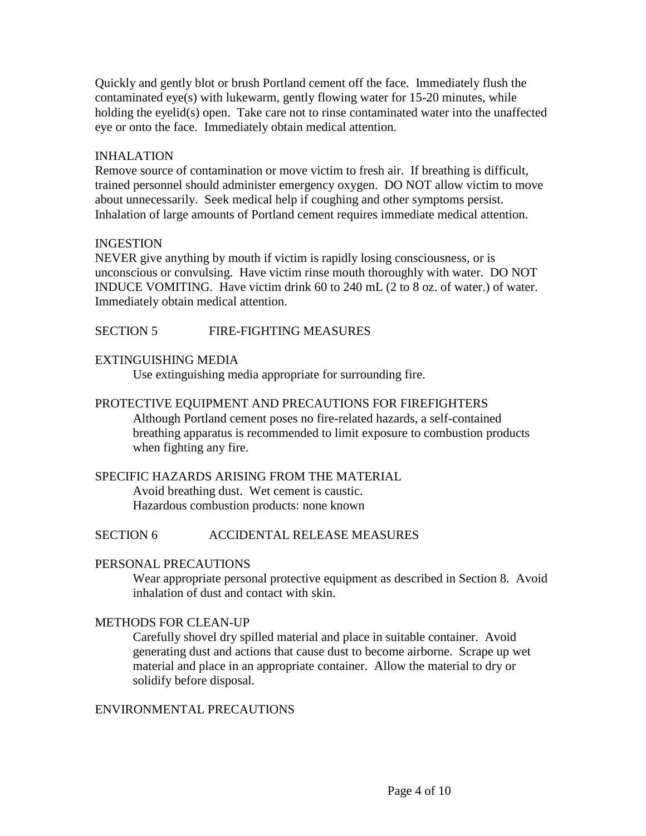Quickly and gently blot or brush Portland cement off the face. Immediately flush the contaminated eye(s) with lukewarm, gently flowing water for 15-20 minutes, while holding the eyelid(s) open. Take care not to rinse contaminated water into the unaffected eye or onto the face. Immediately obtain medical attention.

## INHALATION

Remove source of contamination or move victim to fresh air. If breathing is difficult, trained personnel should administer emergency oxygen. DO NOT allow victim to move about unnecessarily. Seek medical help if coughing and other symptoms persist. Inhalation of large amounts of Portland cement requires immediate medical attention.

## INGESTION

NEVER give anything by mouth if victim is rapidly losing consciousness, or is unconscious or convulsing. Have victim rinse mouth thoroughly with water. DO NOT INDUCE VOMITING. Have victim drink 60 to 240 mL (2 to 8 oz. of water.) of water. Immediately obtain medical attention.

# SECTION 5 FIRE-FIGHTING MEASURES

## EXTINGUISHING MEDIA

Use extinguishing media appropriate for surrounding fire.

## PROTECTIVE EQUIPMENT AND PRECAUTIONS FOR FIREFIGHTERS

Although Portland cement poses no fire-related hazards, a self-contained breathing apparatus is recommended to limit exposure to combustion products when fighting any fire.

#### SPECIFIC HAZARDS ARISING FROM THE MATERIAL

Avoid breathing dust. Wet cement is caustic. Hazardous combustion products: none known

#### SECTION 6 ACCIDENTAL RELEASE MEASURES

#### PERSONAL PRECAUTIONS

Wear appropriate personal protective equipment as described in Section 8. Avoid inhalation of dust and contact with skin.

#### METHODS FOR CLEAN-UP

Carefully shovel dry spilled material and place in suitable container. Avoid generating dust and actions that cause dust to become airborne. Scrape up wet material and place in an appropriate container. Allow the material to dry or solidify before disposal.

## ENVIRONMENTAL PRECAUTIONS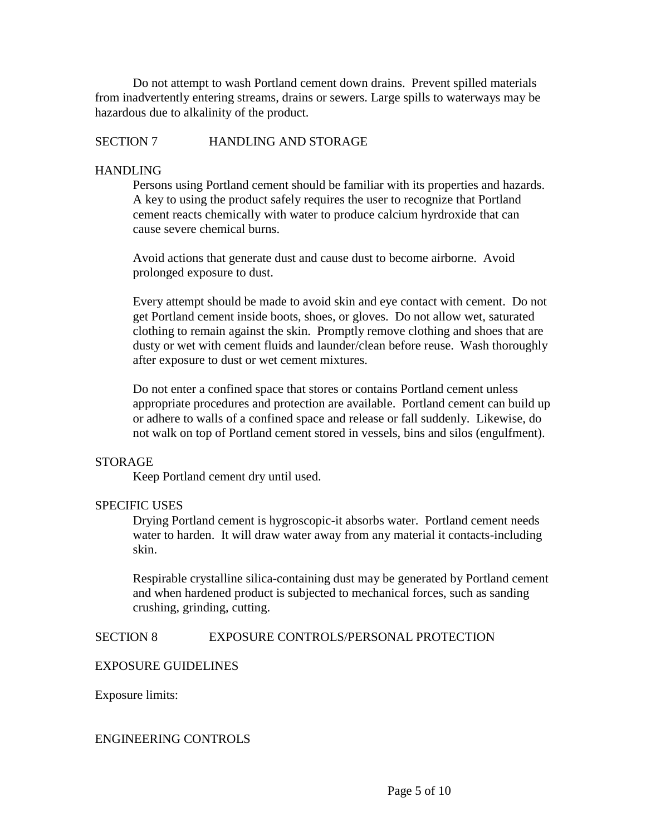Do not attempt to wash Portland cement down drains. Prevent spilled materials from inadvertently entering streams, drains or sewers. Large spills to waterways may be hazardous due to alkalinity of the product.

## SECTION 7 HANDLING AND STORAGE

## HANDLING

Persons using Portland cement should be familiar with its properties and hazards. A key to using the product safely requires the user to recognize that Portland cement reacts chemically with water to produce calcium hyrdroxide that can cause severe chemical burns.

Avoid actions that generate dust and cause dust to become airborne. Avoid prolonged exposure to dust.

Every attempt should be made to avoid skin and eye contact with cement. Do not get Portland cement inside boots, shoes, or gloves. Do not allow wet, saturated clothing to remain against the skin. Promptly remove clothing and shoes that are dusty or wet with cement fluids and launder/clean before reuse. Wash thoroughly after exposure to dust or wet cement mixtures.

Do not enter a confined space that stores or contains Portland cement unless appropriate procedures and protection are available. Portland cement can build up or adhere to walls of a confined space and release or fall suddenly. Likewise, do not walk on top of Portland cement stored in vessels, bins and silos (engulfment).

#### STORAGE

Keep Portland cement dry until used.

# SPECIFIC USES

Drying Portland cement is hygroscopic-it absorbs water. Portland cement needs water to harden. It will draw water away from any material it contacts-including skin.

Respirable crystalline silica-containing dust may be generated by Portland cement and when hardened product is subjected to mechanical forces, such as sanding crushing, grinding, cutting.

SECTION 8 EXPOSURE CONTROLS/PERSONAL PROTECTION

#### EXPOSURE GUIDELINES

Exposure limits:

#### ENGINEERING CONTROLS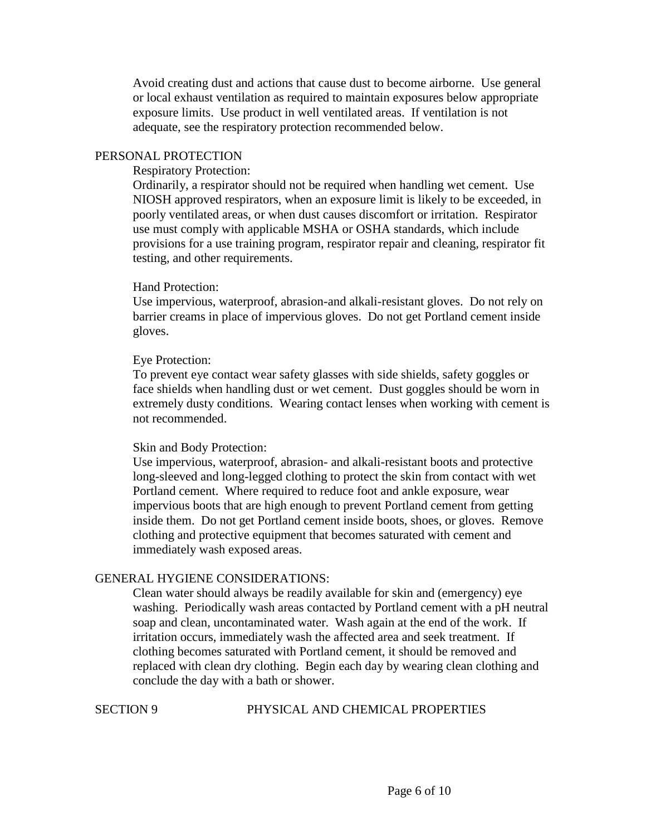Avoid creating dust and actions that cause dust to become airborne. Use general or local exhaust ventilation as required to maintain exposures below appropriate exposure limits. Use product in well ventilated areas. If ventilation is not adequate, see the respiratory protection recommended below.

#### PERSONAL PROTECTION

#### Respiratory Protection:

Ordinarily, a respirator should not be required when handling wet cement. Use NIOSH approved respirators, when an exposure limit is likely to be exceeded, in poorly ventilated areas, or when dust causes discomfort or irritation. Respirator use must comply with applicable MSHA or OSHA standards, which include provisions for a use training program, respirator repair and cleaning, respirator fit testing, and other requirements.

#### Hand Protection:

Use impervious, waterproof, abrasion-and alkali-resistant gloves. Do not rely on barrier creams in place of impervious gloves. Do not get Portland cement inside gloves.

#### Eye Protection:

To prevent eye contact wear safety glasses with side shields, safety goggles or face shields when handling dust or wet cement. Dust goggles should be worn in extremely dusty conditions. Wearing contact lenses when working with cement is not recommended.

#### Skin and Body Protection:

Use impervious, waterproof, abrasion- and alkali-resistant boots and protective long-sleeved and long-legged clothing to protect the skin from contact with wet Portland cement. Where required to reduce foot and ankle exposure, wear impervious boots that are high enough to prevent Portland cement from getting inside them. Do not get Portland cement inside boots, shoes, or gloves. Remove clothing and protective equipment that becomes saturated with cement and immediately wash exposed areas.

#### GENERAL HYGIENE CONSIDERATIONS:

Clean water should always be readily available for skin and (emergency) eye washing. Periodically wash areas contacted by Portland cement with a pH neutral soap and clean, uncontaminated water. Wash again at the end of the work. If irritation occurs, immediately wash the affected area and seek treatment. If clothing becomes saturated with Portland cement, it should be removed and replaced with clean dry clothing. Begin each day by wearing clean clothing and conclude the day with a bath or shower.

#### SECTION 9 PHYSICAL AND CHEMICAL PROPERTIES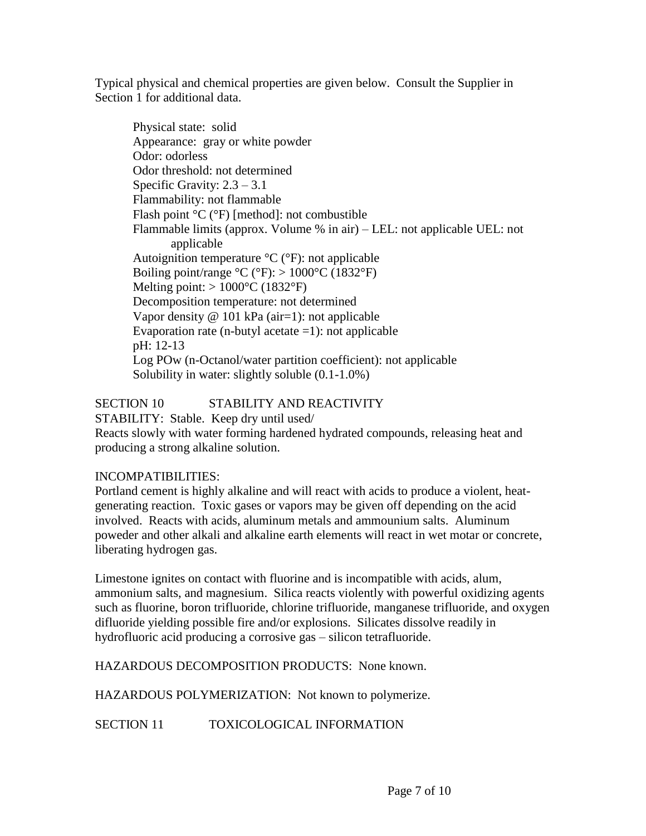Typical physical and chemical properties are given below. Consult the Supplier in Section 1 for additional data.

Physical state: solid Appearance: gray or white powder Odor: odorless Odor threshold: not determined Specific Gravity:  $2.3 - 3.1$ Flammability: not flammable Flash point °C (°F) [method]: not combustible Flammable limits (approx. Volume % in air) – LEL: not applicable UEL: not applicable Autoignition temperature °C (°F): not applicable Boiling point/range  $\rm{^{\circ}C}$  ( $\rm{^{\circ}F}$ ):  $> 1000\rm{^{\circ}C}$  (1832 $\rm{^{\circ}F}$ ) Melting point:  $> 1000^{\circ}$ C (1832°F) Decomposition temperature: not determined Vapor density @ 101 kPa (air=1): not applicable Evaporation rate (n-butyl acetate  $=1$ ): not applicable pH: 12-13 Log POw (n-Octanol/water partition coefficient): not applicable Solubility in water: slightly soluble (0.1-1.0%)

SECTION 10 STABILITY AND REACTIVITY

STABILITY: Stable. Keep dry until used/

Reacts slowly with water forming hardened hydrated compounds, releasing heat and producing a strong alkaline solution.

# INCOMPATIBILITIES:

Portland cement is highly alkaline and will react with acids to produce a violent, heatgenerating reaction. Toxic gases or vapors may be given off depending on the acid involved. Reacts with acids, aluminum metals and ammounium salts. Aluminum poweder and other alkali and alkaline earth elements will react in wet motar or concrete, liberating hydrogen gas.

Limestone ignites on contact with fluorine and is incompatible with acids, alum, ammonium salts, and magnesium. Silica reacts violently with powerful oxidizing agents such as fluorine, boron trifluoride, chlorine trifluoride, manganese trifluoride, and oxygen difluoride yielding possible fire and/or explosions. Silicates dissolve readily in hydrofluoric acid producing a corrosive gas – silicon tetrafluoride.

HAZARDOUS DECOMPOSITION PRODUCTS: None known.

HAZARDOUS POLYMERIZATION: Not known to polymerize.

SECTION 11 TOXICOLOGICAL INFORMATION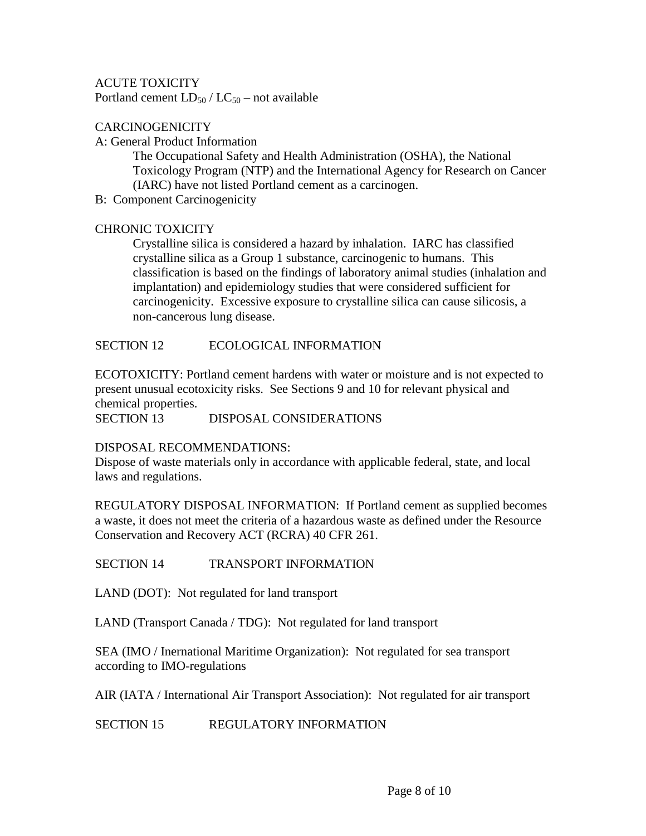## ACUTE TOXICITY

Portland cement  $LD_{50} / LC_{50}$  – not available

## **CARCINOGENICITY**

A: General Product Information

The Occupational Safety and Health Administration (OSHA), the National Toxicology Program (NTP) and the International Agency for Research on Cancer (IARC) have not listed Portland cement as a carcinogen.

B: Component Carcinogenicity

#### CHRONIC TOXICITY

Crystalline silica is considered a hazard by inhalation. IARC has classified crystalline silica as a Group 1 substance, carcinogenic to humans. This classification is based on the findings of laboratory animal studies (inhalation and implantation) and epidemiology studies that were considered sufficient for carcinogenicity. Excessive exposure to crystalline silica can cause silicosis, a non-cancerous lung disease.

#### SECTION 12 ECOLOGICAL INFORMATION

ECOTOXICITY: Portland cement hardens with water or moisture and is not expected to present unusual ecotoxicity risks. See Sections 9 and 10 for relevant physical and chemical properties.

SECTION 13 DISPOSAL CONSIDERATIONS

#### DISPOSAL RECOMMENDATIONS:

Dispose of waste materials only in accordance with applicable federal, state, and local laws and regulations.

REGULATORY DISPOSAL INFORMATION: If Portland cement as supplied becomes a waste, it does not meet the criteria of a hazardous waste as defined under the Resource Conservation and Recovery ACT (RCRA) 40 CFR 261.

SECTION 14 TRANSPORT INFORMATION

LAND (DOT): Not regulated for land transport

LAND (Transport Canada / TDG): Not regulated for land transport

SEA (IMO / Inernational Maritime Organization): Not regulated for sea transport according to IMO-regulations

AIR (IATA / International Air Transport Association): Not regulated for air transport

SECTION 15 REGULATORY INFORMATION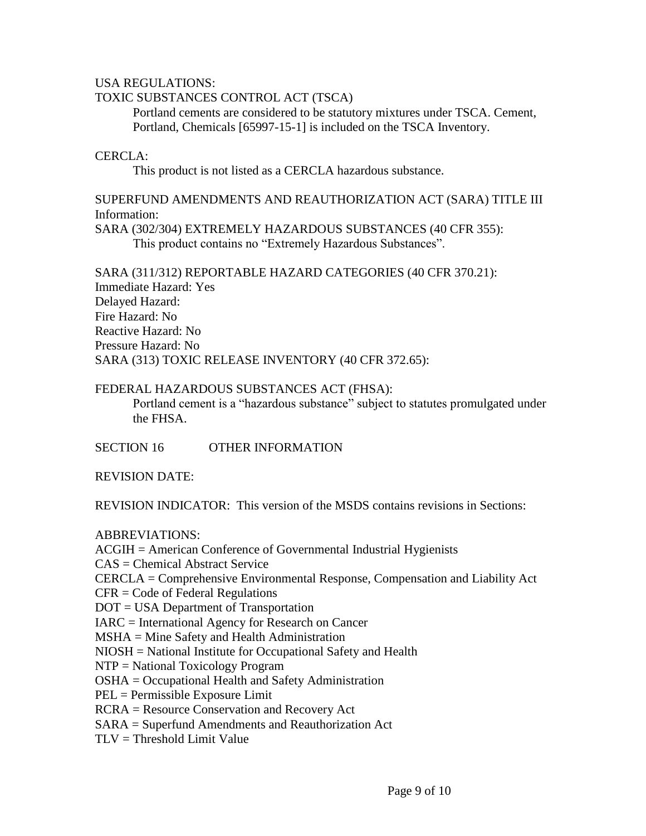#### USA REGULATIONS:

# TOXIC SUBSTANCES CONTROL ACT (TSCA)

Portland cements are considered to be statutory mixtures under TSCA. Cement, Portland, Chemicals [65997-15-1] is included on the TSCA Inventory.

### CERCLA:

This product is not listed as a CERCLA hazardous substance.

## SUPERFUND AMENDMENTS AND REAUTHORIZATION ACT (SARA) TITLE III Information:

SARA (302/304) EXTREMELY HAZARDOUS SUBSTANCES (40 CFR 355): This product contains no "Extremely Hazardous Substances".

SARA (311/312) REPORTABLE HAZARD CATEGORIES (40 CFR 370.21): Immediate Hazard: Yes Delayed Hazard: Fire Hazard: No Reactive Hazard: No Pressure Hazard: No SARA (313) TOXIC RELEASE INVENTORY (40 CFR 372.65):

#### FEDERAL HAZARDOUS SUBSTANCES ACT (FHSA):

Portland cement is a "hazardous substance" subject to statutes promulgated under the FHSA.

SECTION 16 OTHER INFORMATION

REVISION DATE:

REVISION INDICATOR: This version of the MSDS contains revisions in Sections:

#### ABBREVIATIONS:

ACGIH = American Conference of Governmental Industrial Hygienists CAS = Chemical Abstract Service CERCLA = Comprehensive Environmental Response, Compensation and Liability Act CFR = Code of Federal Regulations DOT = USA Department of Transportation IARC = International Agency for Research on Cancer MSHA = Mine Safety and Health Administration NIOSH = National Institute for Occupational Safety and Health NTP = National Toxicology Program OSHA = Occupational Health and Safety Administration PEL = Permissible Exposure Limit RCRA = Resource Conservation and Recovery Act SARA = Superfund Amendments and Reauthorization Act  $TLV = Threshold Limit Value$